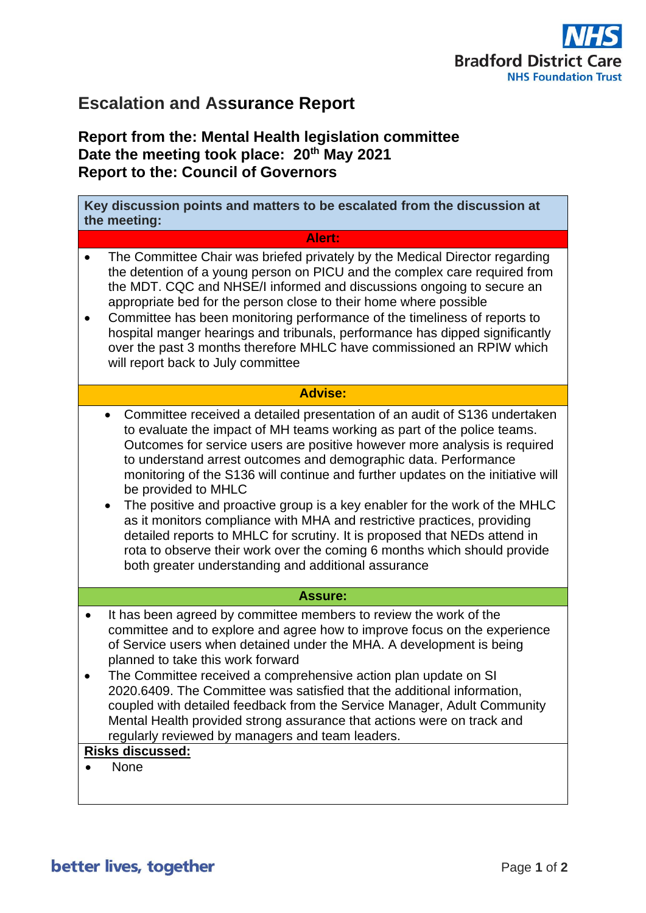

## **Escalation and Assurance Report**

## **Report from the: Mental Health legislation committee Date the meeting took place: 20th May 2021 Report to the: Council of Governors**

| Key discussion points and matters to be escalated from the discussion at<br>the meeting:                                                                                                                                                                                                                                                                                                                                                                                                                                                                                                                                                                                                                                                                                                             |
|------------------------------------------------------------------------------------------------------------------------------------------------------------------------------------------------------------------------------------------------------------------------------------------------------------------------------------------------------------------------------------------------------------------------------------------------------------------------------------------------------------------------------------------------------------------------------------------------------------------------------------------------------------------------------------------------------------------------------------------------------------------------------------------------------|
| Alert:                                                                                                                                                                                                                                                                                                                                                                                                                                                                                                                                                                                                                                                                                                                                                                                               |
| The Committee Chair was briefed privately by the Medical Director regarding<br>$\bullet$<br>the detention of a young person on PICU and the complex care required from<br>the MDT. CQC and NHSE/I informed and discussions ongoing to secure an<br>appropriate bed for the person close to their home where possible<br>Committee has been monitoring performance of the timeliness of reports to<br>hospital manger hearings and tribunals, performance has dipped significantly<br>over the past 3 months therefore MHLC have commissioned an RPIW which<br>will report back to July committee                                                                                                                                                                                                     |
| <b>Advise:</b>                                                                                                                                                                                                                                                                                                                                                                                                                                                                                                                                                                                                                                                                                                                                                                                       |
| Committee received a detailed presentation of an audit of S136 undertaken<br>to evaluate the impact of MH teams working as part of the police teams.<br>Outcomes for service users are positive however more analysis is required<br>to understand arrest outcomes and demographic data. Performance<br>monitoring of the S136 will continue and further updates on the initiative will<br>be provided to MHLC<br>The positive and proactive group is a key enabler for the work of the MHLC<br>$\bullet$<br>as it monitors compliance with MHA and restrictive practices, providing<br>detailed reports to MHLC for scrutiny. It is proposed that NEDs attend in<br>rota to observe their work over the coming 6 months which should provide<br>both greater understanding and additional assurance |
| <b>Assure:</b>                                                                                                                                                                                                                                                                                                                                                                                                                                                                                                                                                                                                                                                                                                                                                                                       |
| It has been agreed by committee members to review the work of the<br>$\bullet$<br>committee and to explore and agree how to improve focus on the experience<br>of Service users when detained under the MHA. A development is being<br>planned to take this work forward<br>The Committee received a comprehensive action plan update on SI<br>2020.6409. The Committee was satisfied that the additional information,<br>coupled with detailed feedback from the Service Manager, Adult Community<br>Mental Health provided strong assurance that actions were on track and<br>regularly reviewed by managers and team leaders.                                                                                                                                                                     |
| <b>Risks discussed:</b><br><b>None</b>                                                                                                                                                                                                                                                                                                                                                                                                                                                                                                                                                                                                                                                                                                                                                               |
|                                                                                                                                                                                                                                                                                                                                                                                                                                                                                                                                                                                                                                                                                                                                                                                                      |